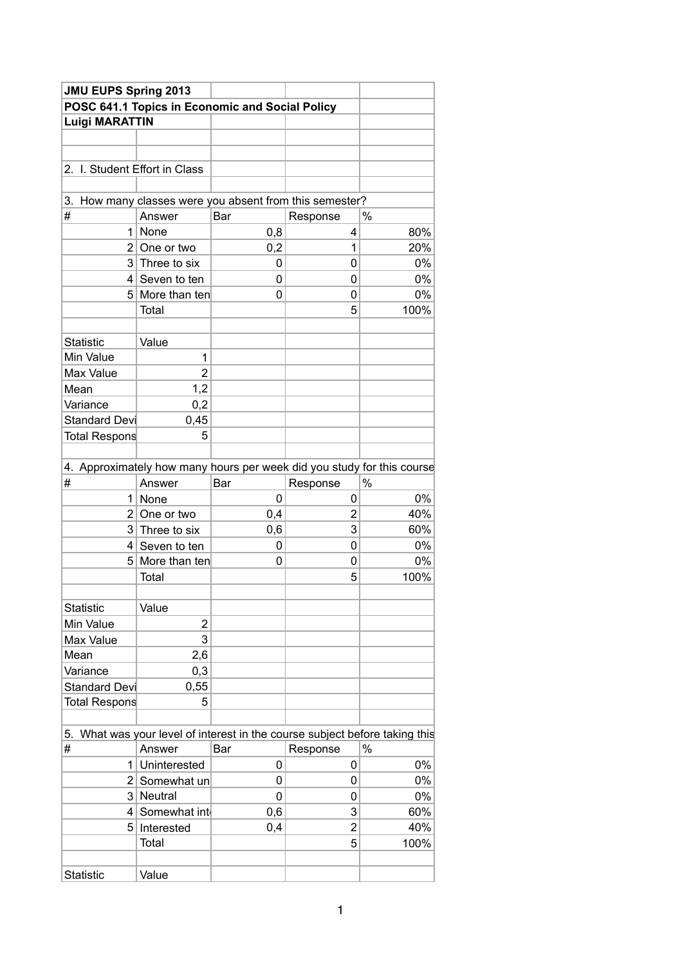| <b>JMU EUPS Spring 2013</b>   |                                                                          |     |                |       |  |  |  |
|-------------------------------|--------------------------------------------------------------------------|-----|----------------|-------|--|--|--|
|                               | POSC 641.1 Topics in Economic and Social Policy                          |     |                |       |  |  |  |
| <b>Luigi MARATTIN</b>         |                                                                          |     |                |       |  |  |  |
|                               |                                                                          |     |                |       |  |  |  |
|                               |                                                                          |     |                |       |  |  |  |
| 2. I. Student Effort in Class |                                                                          |     |                |       |  |  |  |
|                               |                                                                          |     |                |       |  |  |  |
|                               | 3. How many classes were you absent from this semester?                  |     |                |       |  |  |  |
| ∦                             | Answer                                                                   | Bar | Response       | $\%$  |  |  |  |
|                               | $1$ None                                                                 | 0,8 | 4              | 80%   |  |  |  |
|                               | $2$ One or two                                                           | 0,2 | 1              | 20%   |  |  |  |
|                               | $3$ Three to six                                                         | 0   | 0              | $0\%$ |  |  |  |
|                               | $4$ Seven to ten                                                         | 0   | 0              | 0%    |  |  |  |
|                               | 5 More than ten                                                          | 0   | 0              | $0\%$ |  |  |  |
|                               | Total                                                                    |     | 5              | 100%  |  |  |  |
|                               |                                                                          |     |                |       |  |  |  |
| <b>Statistic</b>              | Value                                                                    |     |                |       |  |  |  |
| Min Value                     | 1                                                                        |     |                |       |  |  |  |
| Max Value                     | $\overline{2}$                                                           |     |                |       |  |  |  |
| Mean                          | 1,2                                                                      |     |                |       |  |  |  |
| Variance                      | 0,2                                                                      |     |                |       |  |  |  |
| <b>Standard Devi</b>          | 0,45                                                                     |     |                |       |  |  |  |
| Total Respons                 | 5                                                                        |     |                |       |  |  |  |
|                               |                                                                          |     |                |       |  |  |  |
|                               | 4. Approximately how many hours per week did you study for this course   |     |                |       |  |  |  |
| #                             | Answer                                                                   | Bar | Response       | $\%$  |  |  |  |
|                               | $1$ None                                                                 | 0   | 0              | $0\%$ |  |  |  |
|                               | $2$ One or two                                                           | 0,4 | $\overline{2}$ | 40%   |  |  |  |
|                               | $3$ Three to six                                                         | 0,6 | 3              | 60%   |  |  |  |
|                               | $4$ Seven to ten                                                         | 0   | 0              | $0\%$ |  |  |  |
|                               | 5 More than ten                                                          | 0   | 0              | 0%    |  |  |  |
|                               | Total                                                                    |     | 5              | 100%  |  |  |  |
|                               |                                                                          |     |                |       |  |  |  |
| Statistic                     | Value                                                                    |     |                |       |  |  |  |
| Min Value                     | $\mathbf 2$                                                              |     |                |       |  |  |  |
| Max Value                     | 3                                                                        |     |                |       |  |  |  |
| Mean                          | 2,6                                                                      |     |                |       |  |  |  |
| Variance                      | 0,3                                                                      |     |                |       |  |  |  |
| Standard Devi                 | 0,55                                                                     |     |                |       |  |  |  |
| Total Respons                 | 5                                                                        |     |                |       |  |  |  |
|                               |                                                                          |     |                |       |  |  |  |
| 5.                            | What was your level of interest in the course subject before taking this |     |                |       |  |  |  |
| #                             | Answer                                                                   | Bar | Response       | $\%$  |  |  |  |
|                               | 1 Uninterested                                                           | 0   | 0              | 0%    |  |  |  |
|                               |                                                                          | 0   | 0              | 0%    |  |  |  |
|                               | 2 Somewhat un                                                            |     |                |       |  |  |  |
|                               | 3 Neutral                                                                | 0   | 0              | 0%    |  |  |  |
| 41                            | Somewhat int                                                             | 0,6 | 3              | 60%   |  |  |  |
|                               | 5 Interested                                                             | 0,4 | $\overline{2}$ | 40%   |  |  |  |
|                               | Total                                                                    |     | 5              | 100%  |  |  |  |
|                               |                                                                          |     |                |       |  |  |  |
| Statistic                     | Value                                                                    |     |                |       |  |  |  |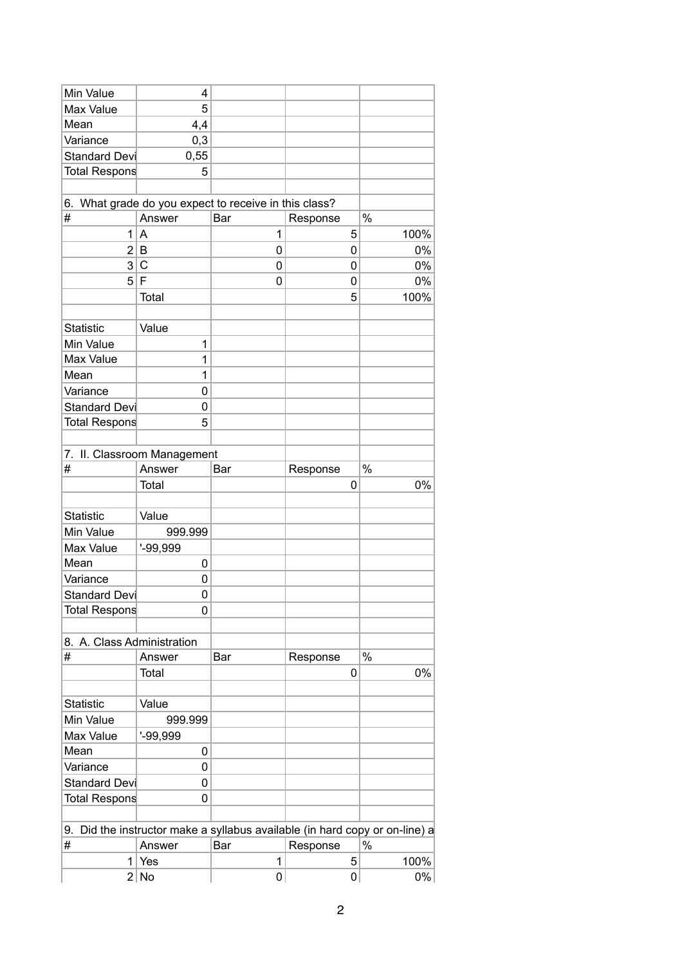| Min Value                  | 4                           |                                                                             |          |           |       |
|----------------------------|-----------------------------|-----------------------------------------------------------------------------|----------|-----------|-------|
| Max Value                  | 5                           |                                                                             |          |           |       |
| Mean                       | 4,4                         |                                                                             |          |           |       |
| Variance                   | 0,3                         |                                                                             |          |           |       |
| Standard Devi              | 0,55                        |                                                                             |          |           |       |
| Total Respons              | 5                           |                                                                             |          |           |       |
|                            |                             |                                                                             |          |           |       |
|                            |                             | 6. What grade do you expect to receive in this class?                       |          |           |       |
| $\#$                       | Answer                      | Bar                                                                         | Response |           | $\%$  |
|                            | 1 A                         | 1                                                                           |          | 5         | 100%  |
| 2                          | $\sf B$                     | 0                                                                           |          | $\pmb{0}$ | 0%    |
| 3 <sup>2</sup>             | $\mathsf{C}$                | $\mathbf 0$                                                                 |          | 0         | $0\%$ |
|                            | 5 F                         | 0                                                                           |          | 0         | $0\%$ |
|                            | Total                       |                                                                             |          | 5         | 100%  |
|                            |                             |                                                                             |          |           |       |
| Statistic                  | Value                       |                                                                             |          |           |       |
| Min Value                  | 1                           |                                                                             |          |           |       |
| Max Value                  | 1                           |                                                                             |          |           |       |
| Mean                       | 1                           |                                                                             |          |           |       |
| Variance                   | $\pmb{0}$                   |                                                                             |          |           |       |
| Standard Devi              | $\pmb{0}$                   |                                                                             |          |           |       |
| Total Respons              | 5                           |                                                                             |          |           |       |
|                            |                             |                                                                             |          |           |       |
|                            | 7. II. Classroom Management |                                                                             |          |           |       |
| #                          | Answer                      | Bar                                                                         | Response |           | $\%$  |
|                            | Total                       |                                                                             |          | 0         | 0%    |
|                            |                             |                                                                             |          |           |       |
| <b>Statistic</b>           | Value                       |                                                                             |          |           |       |
| Min Value                  | 999.999                     |                                                                             |          |           |       |
| Max Value                  | $-99,999$                   |                                                                             |          |           |       |
| Mean                       | 0                           |                                                                             |          |           |       |
| Variance                   | 0                           |                                                                             |          |           |       |
| <b>Standard Devi</b>       | 0                           |                                                                             |          |           |       |
| Total Respons              | 0                           |                                                                             |          |           |       |
|                            |                             |                                                                             |          |           |       |
| 8. A. Class Administration |                             |                                                                             |          |           |       |
| $\#$                       | Answer                      | Bar                                                                         | Response |           | $\%$  |
|                            | Total                       |                                                                             |          | 0         | $0\%$ |
|                            |                             |                                                                             |          |           |       |
| Statistic                  | Value                       |                                                                             |          |           |       |
| Min Value                  | 999.999                     |                                                                             |          |           |       |
| Max Value                  | $-99,999$                   |                                                                             |          |           |       |
| Mean                       | 0                           |                                                                             |          |           |       |
| Variance                   | 0                           |                                                                             |          |           |       |
| <b>Standard Devi</b>       | $\mathsf{O}\xspace$         |                                                                             |          |           |       |
| Total Respons              | 0                           |                                                                             |          |           |       |
|                            |                             |                                                                             |          |           |       |
|                            |                             | 9. Did the instructor make a syllabus available (in hard copy or on-line) a |          |           |       |
| #                          | Answer                      | Bar                                                                         | Response |           | $\%$  |
|                            | $1$ Yes                     | $\mathbf{1}$                                                                |          | 5         | 100%  |
|                            | 2 No                        | 0                                                                           |          | 0         | $0\%$ |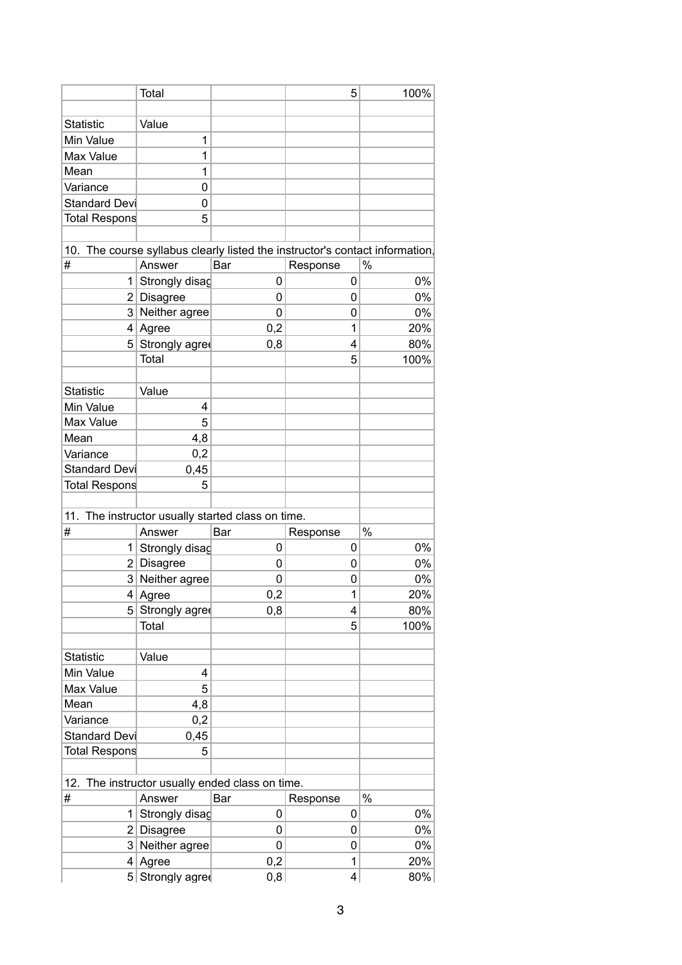|                  | Total                                                     |           | 5                                                                            | 100%  |
|------------------|-----------------------------------------------------------|-----------|------------------------------------------------------------------------------|-------|
|                  |                                                           |           |                                                                              |       |
| Statistic        | Value                                                     |           |                                                                              |       |
| Min Value        | 1                                                         |           |                                                                              |       |
| Max Value        | 1                                                         |           |                                                                              |       |
| Mean             | 1                                                         |           |                                                                              |       |
| Variance         | 0                                                         |           |                                                                              |       |
| Standard Devi    | $\pmb{0}$                                                 |           |                                                                              |       |
| Total Respons    | 5                                                         |           |                                                                              |       |
|                  |                                                           |           |                                                                              |       |
|                  |                                                           |           | 10. The course syllabus clearly listed the instructor's contact information, |       |
| ∦                | Answer                                                    | Bar       | Response                                                                     | $\%$  |
| 1                | Strongly disag                                            | $\pmb{0}$ | $\pmb{0}$                                                                    | $0\%$ |
|                  | $2$ Disagree                                              | 0         | 0                                                                            | $0\%$ |
|                  | 3 Neither agree                                           | 0         | 0                                                                            | 0%    |
|                  | $4$ Agree                                                 | 0,2       | 1                                                                            | 20%   |
|                  | 5 Strongly agree                                          | 0,8       | 4                                                                            | 80%   |
|                  | Total                                                     |           | $\sqrt{5}$                                                                   | 100%  |
|                  |                                                           |           |                                                                              |       |
| <b>Statistic</b> | Value                                                     |           |                                                                              |       |
| Min Value        | 4                                                         |           |                                                                              |       |
| Max Value        | 5                                                         |           |                                                                              |       |
| Mean             | 4,8                                                       |           |                                                                              |       |
| Variance         | 0,2                                                       |           |                                                                              |       |
| Standard Devi    | 0,45                                                      |           |                                                                              |       |
| Total Respons    | 5                                                         |           |                                                                              |       |
|                  |                                                           |           |                                                                              |       |
|                  | 11. The instructor usually started class on time.         |           |                                                                              |       |
| #                | Answer                                                    | Bar       | Response                                                                     | $\%$  |
|                  | 1 Strongly disag                                          | 0         | 0                                                                            | 0%    |
|                  | $2$ Disagree                                              | 0         | 0                                                                            | $0\%$ |
|                  | 3 Neither agree                                           | 0         | 0                                                                            | 0%    |
|                  | 4 Agree                                                   | 0,2       | $\mathbf 1$                                                                  | 20%   |
|                  | 5 Strongly agree                                          | 0,8       | 4                                                                            | 80%   |
|                  | Total                                                     |           | 5                                                                            | 100%  |
|                  |                                                           |           |                                                                              |       |
| Statistic        | Value                                                     |           |                                                                              |       |
| Min Value        | 4                                                         |           |                                                                              |       |
| Max Value        | 5                                                         |           |                                                                              |       |
| Mean             | 4,8                                                       |           |                                                                              |       |
| Variance         | 0,2                                                       |           |                                                                              |       |
| Standard Devi    | 0,45                                                      |           |                                                                              |       |
| Total Respons    | 5                                                         |           |                                                                              |       |
|                  |                                                           |           |                                                                              |       |
|                  |                                                           |           |                                                                              |       |
| #                | 12. The instructor usually ended class on time.<br>Answer | Bar       | Response                                                                     | $\%$  |
|                  |                                                           |           |                                                                              |       |
|                  | 1 Strongly disag                                          | $\pmb{0}$ | 0                                                                            | $0\%$ |
|                  | $2$ Disagree                                              | 0         | 0                                                                            | $0\%$ |
|                  | 3 Neither agree                                           | 0         | 0                                                                            | 0%    |
|                  | $4$ Agree                                                 | 0,2       | 1                                                                            | 20%   |
|                  | 5 Strongly agree                                          | 0,8       | $\overline{\mathbf{4}}$                                                      | 80%   |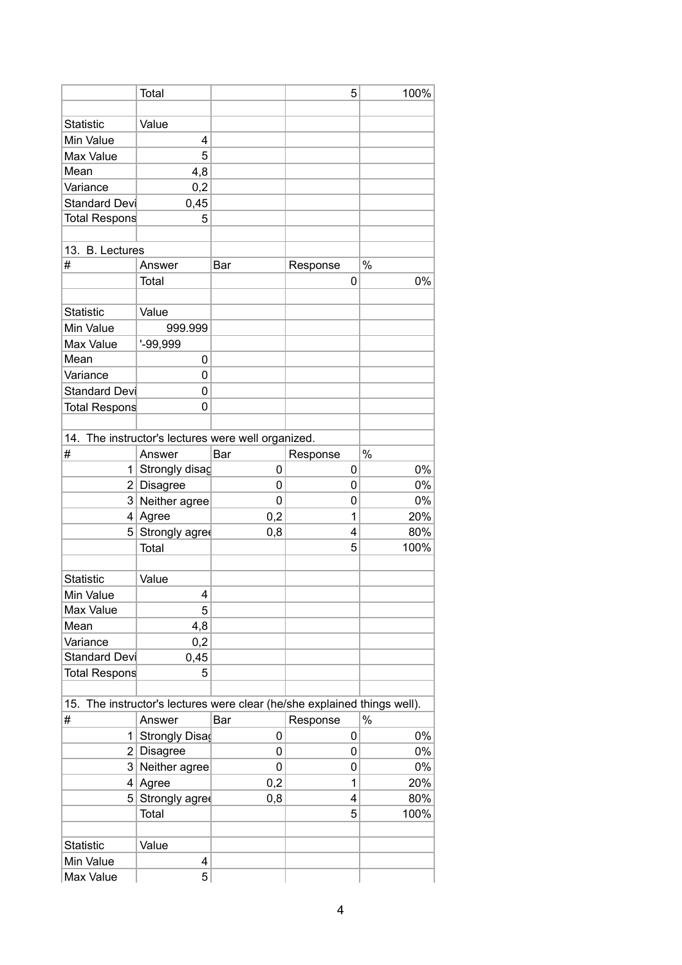|                      | <b>Total</b>                                                             |     | 5        | 100%  |
|----------------------|--------------------------------------------------------------------------|-----|----------|-------|
|                      |                                                                          |     |          |       |
| <b>Statistic</b>     | Value                                                                    |     |          |       |
| Min Value            | 4                                                                        |     |          |       |
| Max Value            | 5                                                                        |     |          |       |
| Mean                 | 4,8                                                                      |     |          |       |
| Variance             | 0,2                                                                      |     |          |       |
| Standard Devi        | 0,45                                                                     |     |          |       |
| <b>Total Respons</b> | 5                                                                        |     |          |       |
|                      |                                                                          |     |          |       |
| 13. B. Lectures      |                                                                          |     |          |       |
| #                    | Answer                                                                   | Bar | Response | %     |
|                      | Total                                                                    |     | 0        | 0%    |
|                      |                                                                          |     |          |       |
| Statistic            | Value                                                                    |     |          |       |
| Min Value            | 999.999                                                                  |     |          |       |
| Max Value            | $' - 99,999$                                                             |     |          |       |
| Mean                 | 0                                                                        |     |          |       |
| Variance             | 0                                                                        |     |          |       |
| <b>Standard Devi</b> | 0                                                                        |     |          |       |
| <b>Total Respons</b> | 0                                                                        |     |          |       |
|                      |                                                                          |     |          |       |
|                      | 14. The instructor's lectures were well organized.                       |     |          |       |
| #                    | Answer                                                                   | Bar | Response | $\%$  |
| 1.                   | Strongly disag                                                           | 0   | 0        | 0%    |
|                      | 2 Disagree                                                               | 0   | 0        | 0%    |
|                      | 3 Neither agree                                                          | 0   | 0        | 0%    |
| 4                    | Agree                                                                    | 0,2 | 1        | 20%   |
| 5                    | Strongly agree                                                           | 0,8 | 4        | 80%   |
|                      | Total                                                                    |     | 5        | 100%  |
|                      |                                                                          |     |          |       |
| <b>Statistic</b>     | Value                                                                    |     |          |       |
| Min Value            | 4                                                                        |     |          |       |
| Max Value            | 5                                                                        |     |          |       |
| Mean                 | 4,8                                                                      |     |          |       |
| Variance             | 0,2                                                                      |     |          |       |
| Standard Devi        | 0,45                                                                     |     |          |       |
| Total Respons        | 5                                                                        |     |          |       |
|                      |                                                                          |     |          |       |
|                      | 15. The instructor's lectures were clear (he/she explained things well). |     |          |       |
| #                    | Answer                                                                   | Bar | Response | $\%$  |
| 1                    | Strongly Disa                                                            | 0   | 0        | 0%    |
| 2                    | Disagree                                                                 | 0   | 0        | 0%    |
|                      | 3 Neither agree                                                          | 0   | 0        | $0\%$ |
| 4                    | Agree                                                                    | 0,2 | 1        | 20%   |
| 5                    | Strongly agree                                                           | 0,8 | 4        | 80%   |
|                      | Total                                                                    |     | 5        | 100%  |
|                      |                                                                          |     |          |       |
| <b>Statistic</b>     | Value                                                                    |     |          |       |
| Min Value            | 4                                                                        |     |          |       |
| Max Value            | 5                                                                        |     |          |       |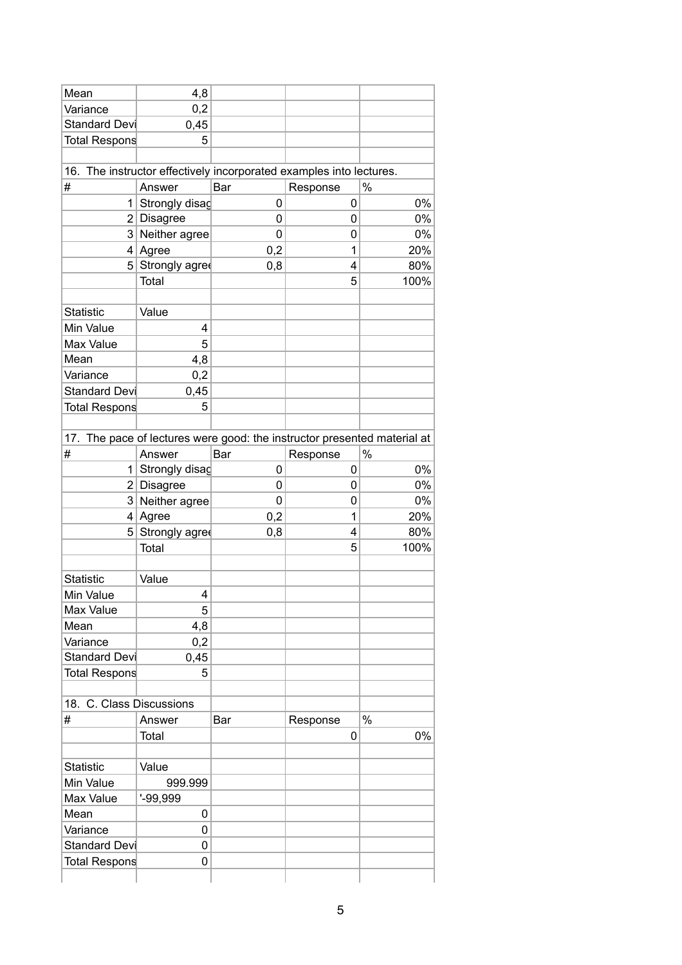| Mean                                                                | 4,8              |             |          |                                                                          |  |
|---------------------------------------------------------------------|------------------|-------------|----------|--------------------------------------------------------------------------|--|
| Variance                                                            | 0,2              |             |          |                                                                          |  |
| Standard Devi                                                       | 0,45             |             |          |                                                                          |  |
| Total Respons                                                       | 5                |             |          |                                                                          |  |
|                                                                     |                  |             |          |                                                                          |  |
| 16. The instructor effectively incorporated examples into lectures. |                  |             |          |                                                                          |  |
| $\#$                                                                | Answer           | Bar         | Response | $\%$                                                                     |  |
|                                                                     | 1 Strongly disag | 0           | 0        | 0%                                                                       |  |
|                                                                     | $2$ Disagree     | $\mathbf 0$ | 0        | $0\%$                                                                    |  |
|                                                                     | 3 Neither agree  | 0           | 0        | 0%                                                                       |  |
|                                                                     | $4$ Agree        | 0,2         | 1        | 20%                                                                      |  |
|                                                                     | 5 Strongly agree | 0,8         | 4        | 80%                                                                      |  |
|                                                                     | Total            |             | 5        | 100%                                                                     |  |
|                                                                     |                  |             |          |                                                                          |  |
| <b>Statistic</b>                                                    | Value            |             |          |                                                                          |  |
| Min Value                                                           | 4<br>5           |             |          |                                                                          |  |
| Max Value<br>Mean                                                   | 4,8              |             |          |                                                                          |  |
| Variance                                                            | 0,2              |             |          |                                                                          |  |
| <b>Standard Devi</b>                                                | 0,45             |             |          |                                                                          |  |
| <b>Total Respons</b>                                                | 5                |             |          |                                                                          |  |
|                                                                     |                  |             |          |                                                                          |  |
|                                                                     |                  |             |          | 17. The pace of lectures were good: the instructor presented material at |  |
| $\#$                                                                | Answer           | Bar         | Response | $\%$                                                                     |  |
|                                                                     | 1 Strongly disag | 0           | 0        | $0\%$                                                                    |  |
|                                                                     | $2$ Disagree     | 0           | 0        | $0\%$                                                                    |  |
|                                                                     | 3 Neither agree  | 0           | 0        | $0\%$                                                                    |  |
|                                                                     | $4$ Agree        | 0,2         | 1        | 20%                                                                      |  |
|                                                                     | 5 Strongly agree | 0,8         | 4        | 80%                                                                      |  |
|                                                                     | Total            |             | 5        | 100%                                                                     |  |
|                                                                     |                  |             |          |                                                                          |  |
| <b>Statistic</b>                                                    | Value            |             |          |                                                                          |  |
| Min Value                                                           | 4                |             |          |                                                                          |  |
| Max Value                                                           | 5                |             |          |                                                                          |  |
| Mean                                                                | 4,8              |             |          |                                                                          |  |
| Variance                                                            | 0,2              |             |          |                                                                          |  |
| Standard Devi                                                       | 0,45             |             |          |                                                                          |  |
| Total Respons                                                       | 5 <sup>5</sup>   |             |          |                                                                          |  |
|                                                                     |                  |             |          |                                                                          |  |
| 18. C. Class Discussions                                            |                  |             |          |                                                                          |  |
| #                                                                   | Answer           | Bar         | Response | $\%$                                                                     |  |
|                                                                     | Total            |             | 0        | $0\%$                                                                    |  |
|                                                                     |                  |             |          |                                                                          |  |
| Statistic                                                           | Value            |             |          |                                                                          |  |
| Min Value                                                           | 999.999          |             |          |                                                                          |  |
| Max Value                                                           | $-99,999$        |             |          |                                                                          |  |
| Mean                                                                | 0                |             |          |                                                                          |  |
| Variance                                                            | $\pmb{0}$        |             |          |                                                                          |  |
| Standard Devi                                                       | 0                |             |          |                                                                          |  |
| Total Respons                                                       | 0                |             |          |                                                                          |  |
|                                                                     |                  |             |          |                                                                          |  |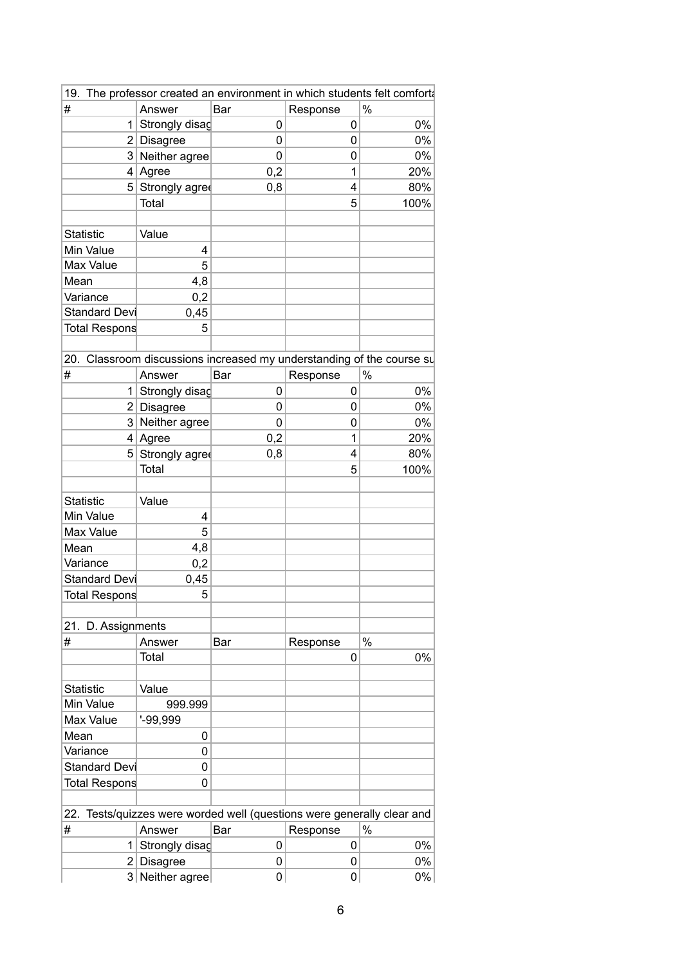|                      |                  | 19. The professor created an environment in which students felt comforta |             |       |
|----------------------|------------------|--------------------------------------------------------------------------|-------------|-------|
| $\#$                 | Answer           | Bar                                                                      | Response    | $\%$  |
|                      | 1 Strongly disag | $\mathbf 0$                                                              | $\mathbf 0$ | $0\%$ |
|                      | $2$ Disagree     | $\mathbf 0$                                                              | $\mathbf 0$ | 0%    |
|                      | 3 Neither agree  | $\mathbf 0$                                                              | $\mathbf 0$ | 0%    |
|                      | $4$ Agree        | 0,2                                                                      | 1           | 20%   |
|                      | 5 Strongly agree | 0,8                                                                      | 4           | 80%   |
|                      | Total            |                                                                          | 5           | 100%  |
|                      |                  |                                                                          |             |       |
| <b>Statistic</b>     | Value            |                                                                          |             |       |
| Min Value            | 4                |                                                                          |             |       |
| Max Value            | 5                |                                                                          |             |       |
| Mean                 | 4,8              |                                                                          |             |       |
| Variance             | 0,2              |                                                                          |             |       |
| Standard Devi        | 0,45             |                                                                          |             |       |
| Total Respons        | 5                |                                                                          |             |       |
|                      |                  |                                                                          |             |       |
|                      |                  | 20. Classroom discussions increased my understanding of the course su    |             |       |
| #                    | Answer           | Bar                                                                      | Response    | $\%$  |
|                      | 1 Strongly disag | $\mathbf 0$                                                              | $\mathbf 0$ | $0\%$ |
|                      | $2$ Disagree     | $\mathbf 0$                                                              | $\mathbf 0$ | 0%    |
|                      | 3 Neither agree  | $\mathbf 0$                                                              | $\mathbf 0$ | 0%    |
|                      | $4$ Agree        | 0,2                                                                      | 1           | 20%   |
|                      | 5 Strongly agree | 0,8                                                                      | 4           | 80%   |
|                      | Total            |                                                                          | 5           | 100%  |
|                      |                  |                                                                          |             |       |
| <b>Statistic</b>     | Value            |                                                                          |             |       |
| Min Value            |                  |                                                                          |             |       |
|                      | 4<br>5           |                                                                          |             |       |
| Max Value            |                  |                                                                          |             |       |
| Mean                 | 4,8              |                                                                          |             |       |
| Variance             | 0,2              |                                                                          |             |       |
| Standard Devi        | 0,45             |                                                                          |             |       |
| <b>Total Respons</b> | 5                |                                                                          |             |       |
|                      |                  |                                                                          |             |       |
| 21. D. Assignments   |                  |                                                                          |             |       |
| #                    | Answer           | Bar                                                                      | Response    | $\%$  |
|                      | Total            |                                                                          | 0           | 0%    |
|                      |                  |                                                                          |             |       |
| <b>Statistic</b>     | Value            |                                                                          |             |       |
| Min Value            | 999.999          |                                                                          |             |       |
| Max Value            | $-99,999$        |                                                                          |             |       |
| Mean                 | 0                |                                                                          |             |       |
| Variance             | 0                |                                                                          |             |       |
| Standard Devi        | 0                |                                                                          |             |       |
| Total Respons        | 0                |                                                                          |             |       |
|                      |                  |                                                                          |             |       |
|                      |                  | 22. Tests/quizzes were worded well (questions were generally clear and   |             |       |
| #                    | Answer           | Bar                                                                      | Response    | $\%$  |
|                      | 1 Strongly disag | $\pmb{0}$                                                                | $\mathbf 0$ | $0\%$ |
|                      | $2$ Disagree     | $\pmb{0}$                                                                | 0           | $0\%$ |
|                      | 3 Neither agree  | $\pmb{0}$                                                                | 0           | $0\%$ |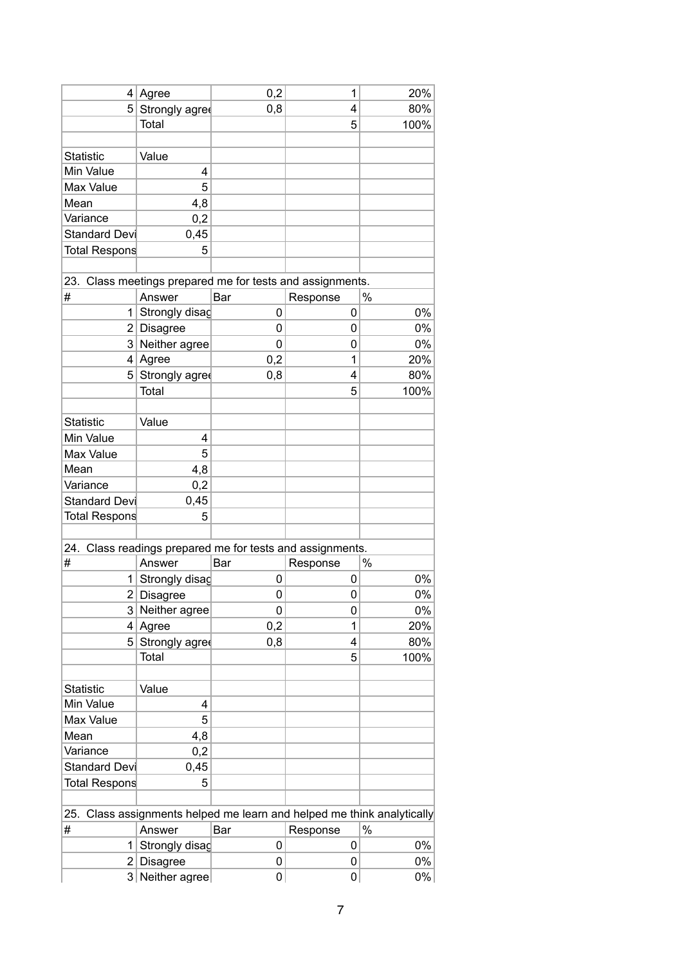|                      | $4$ Agree        | 0,2         | 1                                                                      | 20%   |
|----------------------|------------------|-------------|------------------------------------------------------------------------|-------|
| 5 <sup>2</sup>       | Strongly agree   | 0,8         | 4                                                                      | 80%   |
|                      | Total            |             | 5                                                                      | 100%  |
|                      |                  |             |                                                                        |       |
| <b>Statistic</b>     | Value            |             |                                                                        |       |
| Min Value            | 4                |             |                                                                        |       |
| Max Value            | 5                |             |                                                                        |       |
| Mean                 | 4,8              |             |                                                                        |       |
| Variance             | 0,2              |             |                                                                        |       |
| Standard Devi        | 0,45             |             |                                                                        |       |
| Total Respons        | 5                |             |                                                                        |       |
|                      |                  |             |                                                                        |       |
|                      |                  |             | 23. Class meetings prepared me for tests and assignments.              |       |
| #                    | Answer           | Bar         | Response                                                               | $\%$  |
|                      | 1 Strongly disag | 0           | 0                                                                      | 0%    |
|                      | $2$ Disagree     | 0           | 0                                                                      | $0\%$ |
|                      | 3 Neither agree  | $\mathbf 0$ | 0                                                                      | 0%    |
|                      | $4$ Agree        | 0,2         | 1                                                                      | 20%   |
|                      | 5 Strongly agree | 0,8         | 4                                                                      | 80%   |
|                      | Total            |             | 5                                                                      | 100%  |
|                      |                  |             |                                                                        |       |
| <b>Statistic</b>     | Value            |             |                                                                        |       |
| Min Value            | 4                |             |                                                                        |       |
| Max Value            | 5                |             |                                                                        |       |
| Mean                 | 4,8              |             |                                                                        |       |
| Variance             | 0,2              |             |                                                                        |       |
| Standard Devi        | 0,45             |             |                                                                        |       |
| <b>Total Respons</b> | 5                |             |                                                                        |       |
|                      |                  |             |                                                                        |       |
|                      |                  |             | 24. Class readings prepared me for tests and assignments.              |       |
| #                    | Answer           | Bar         | Response                                                               | $\%$  |
|                      | 1 Strongly disag | 0           | 0                                                                      | 0%    |
|                      | 2 Disagree       | 0           | 0                                                                      | $0\%$ |
|                      | 3 Neither agree  | 0           | 0                                                                      | 0%    |
|                      | $4$ Agree        | 0,2         | 1                                                                      | 20%   |
|                      | 5 Strongly agree | 0,8         | 4                                                                      | 80%   |
|                      | Total            |             | 5                                                                      | 100%  |
|                      |                  |             |                                                                        |       |
| <b>Statistic</b>     | Value            |             |                                                                        |       |
| Min Value            | 4                |             |                                                                        |       |
| Max Value            | 5                |             |                                                                        |       |
| Mean                 | 4,8              |             |                                                                        |       |
| Variance             | 0,2              |             |                                                                        |       |
| Standard Devi        | 0,45             |             |                                                                        |       |
| <b>Total Respons</b> | 5                |             |                                                                        |       |
|                      |                  |             |                                                                        |       |
|                      |                  |             | 25. Class assignments helped me learn and helped me think analytically |       |
| #                    | Answer           | Bar         | Response                                                               | $\%$  |
|                      | 1 Strongly disag | 0           | 0                                                                      | 0%    |
|                      | $2$ Disagree     | 0           | 0                                                                      | $0\%$ |
|                      | 3 Neither agree  | 0           | 0                                                                      | 0%    |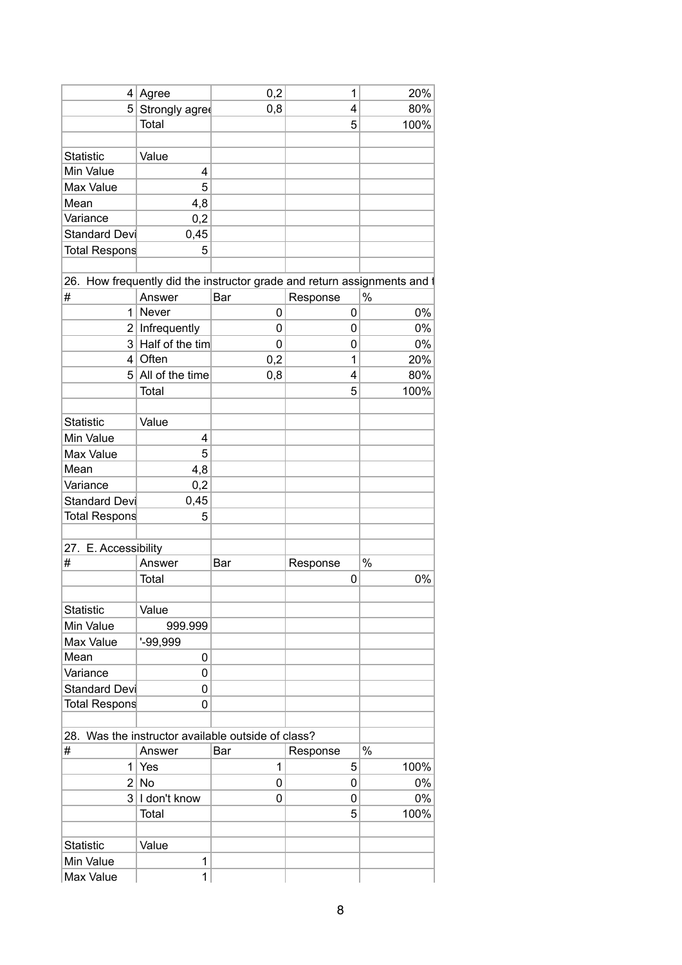|                      | $4$ Agree           | 0,2                                                                      |          | 1 | 20%   |
|----------------------|---------------------|--------------------------------------------------------------------------|----------|---|-------|
|                      | 5 Strongly agree    | 0,8                                                                      |          | 4 | 80%   |
|                      | Total               |                                                                          |          | 5 | 100%  |
|                      |                     |                                                                          |          |   |       |
| Statistic            | Value               |                                                                          |          |   |       |
| Min Value            | 4                   |                                                                          |          |   |       |
| Max Value            | 5                   |                                                                          |          |   |       |
| Mean                 | 4,8                 |                                                                          |          |   |       |
| Variance             | 0,2                 |                                                                          |          |   |       |
| Standard Devi        | 0,45                |                                                                          |          |   |       |
| Total Respons        | 5                   |                                                                          |          |   |       |
|                      |                     |                                                                          |          |   |       |
|                      |                     | 26. How frequently did the instructor grade and return assignments and t |          |   |       |
| #                    | Answer              | Bar                                                                      | Response |   | $\%$  |
|                      | $1$ Never           | 0                                                                        |          | 0 | $0\%$ |
|                      | $2$ Infrequently    | 0                                                                        |          | 0 | $0\%$ |
|                      | 3 Half of the tim   | 0                                                                        |          | 0 | $0\%$ |
|                      | $4$ Often           | 0,2                                                                      |          | 1 | 20%   |
|                      | $5$ All of the time | 0,8                                                                      |          | 4 | 80%   |
|                      | Total               |                                                                          |          | 5 | 100%  |
|                      |                     |                                                                          |          |   |       |
| <b>Statistic</b>     | Value               |                                                                          |          |   |       |
| Min Value            | 4                   |                                                                          |          |   |       |
| Max Value            | 5                   |                                                                          |          |   |       |
| Mean                 | 4,8                 |                                                                          |          |   |       |
| Variance             | 0,2                 |                                                                          |          |   |       |
| <b>Standard Devi</b> | 0,45                |                                                                          |          |   |       |
| Total Respons        | 5                   |                                                                          |          |   |       |
|                      |                     |                                                                          |          |   |       |
| 27. E. Accessibility |                     |                                                                          |          |   |       |
| #                    | Answer              | Bar                                                                      | Response |   | $\%$  |
|                      | Total               |                                                                          |          | 0 | 0%    |
|                      |                     |                                                                          |          |   |       |
| <b>Statistic</b>     | Value               |                                                                          |          |   |       |
| Min Value            | 999.999             |                                                                          |          |   |       |
| Max Value            | $-99,999$           |                                                                          |          |   |       |
| Mean                 | 0                   |                                                                          |          |   |       |
| Variance             | 0                   |                                                                          |          |   |       |
| <b>Standard Devi</b> | 0                   |                                                                          |          |   |       |
| <b>Total Respons</b> | 0                   |                                                                          |          |   |       |
|                      |                     |                                                                          |          |   |       |
|                      |                     | 28. Was the instructor available outside of class?                       |          |   |       |
| #                    | Answer              | Bar                                                                      | Response |   | $\%$  |
|                      | $1$ Yes             | $\mathbf 1$                                                              |          | 5 | 100%  |
|                      | 2 No                | 0                                                                        |          | 0 | $0\%$ |
|                      | $3$ I don't know    | 0                                                                        |          | 0 | $0\%$ |
|                      | Total               |                                                                          |          | 5 | 100%  |
|                      |                     |                                                                          |          |   |       |
| <b>Statistic</b>     | Value               |                                                                          |          |   |       |
| Min Value            | 1                   |                                                                          |          |   |       |
| Max Value            | 1                   |                                                                          |          |   |       |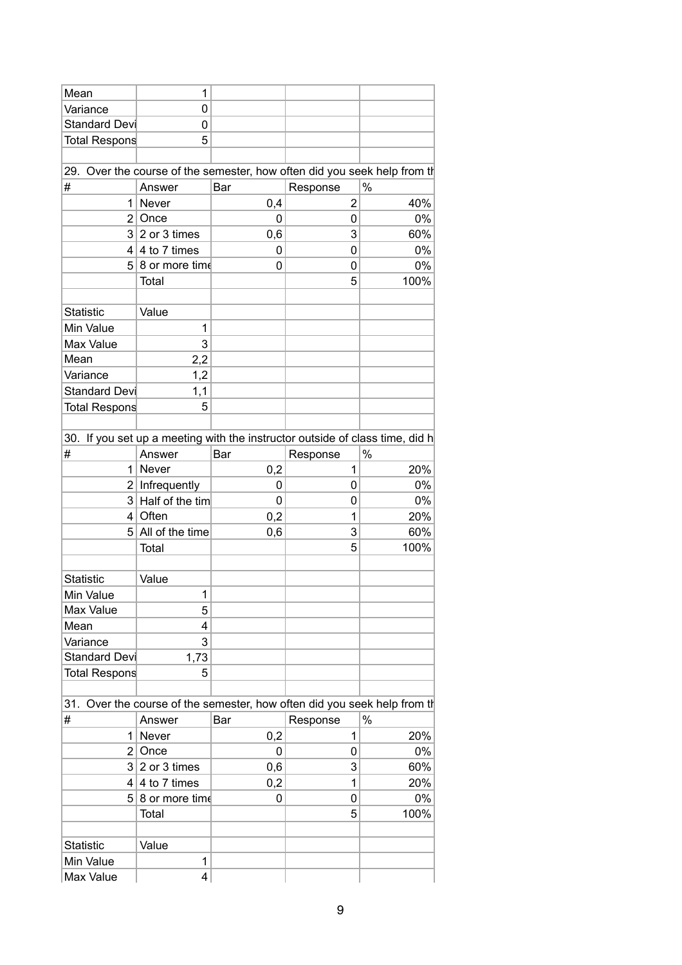| Mean             | 1                                      |             |           |                                                                              |
|------------------|----------------------------------------|-------------|-----------|------------------------------------------------------------------------------|
| Variance         | 0                                      |             |           |                                                                              |
| Standard Devi    | 0                                      |             |           |                                                                              |
| Total Respons    | 5                                      |             |           |                                                                              |
|                  |                                        |             |           |                                                                              |
|                  |                                        |             |           | 29. Over the course of the semester, how often did you seek help from the    |
| #                | Answer                                 | Bar         | Response  | $\%$                                                                         |
|                  | $1$ Never                              | 0,4         | 2         | 40%                                                                          |
|                  | $2$ Once                               | 0           | 0         | $0\%$                                                                        |
|                  | $3 2$ or 3 times                       | 0,6         | 3         | 60%                                                                          |
|                  | $4 \mid 4$ to 7 times                  | 0           | 0         | $0\%$                                                                        |
|                  | $5 8$ or more time                     | $\pmb{0}$   | 0         | $0\%$                                                                        |
|                  | Total                                  |             | 5         | 100%                                                                         |
|                  |                                        |             |           |                                                                              |
| <b>Statistic</b> | Value                                  |             |           |                                                                              |
| Min Value        | 1                                      |             |           |                                                                              |
| Max Value        | 3                                      |             |           |                                                                              |
| Mean             | 2,2                                    |             |           |                                                                              |
| Variance         | 1,2                                    |             |           |                                                                              |
| Standard Devi    | 1,1                                    |             |           |                                                                              |
|                  | 5                                      |             |           |                                                                              |
| Total Respons    |                                        |             |           |                                                                              |
|                  |                                        |             |           |                                                                              |
|                  |                                        |             |           | 30. If you set up a meeting with the instructor outside of class time, did h |
| #                | Answer                                 | Bar         | Response  | $\%$                                                                         |
|                  | $1$ Never                              | 0,2         | 1         | 20%                                                                          |
|                  | $2$ Infrequently                       | 0           | $\pmb{0}$ | $0\%$                                                                        |
|                  | $3$ Half of the tim                    | 0           | 0         | $0\%$                                                                        |
|                  | $4$ Often                              | 0,2         | 1         | 20%                                                                          |
|                  | $5$ All of the time                    | 0,6         | 3         | 60%                                                                          |
|                  | Total                                  |             | 5         | 100%                                                                         |
|                  |                                        |             |           |                                                                              |
| Statistic        | Value                                  |             |           |                                                                              |
| Min Value        | 1                                      |             |           |                                                                              |
| Max Value        | 5                                      |             |           |                                                                              |
| Mean             | $\overline{\mathbf{4}}$                |             |           |                                                                              |
| Variance         | 3                                      |             |           |                                                                              |
| Standard Devi    | 1,73                                   |             |           |                                                                              |
| Total Respons    | 5                                      |             |           |                                                                              |
|                  |                                        |             |           |                                                                              |
|                  |                                        |             |           | 31. Over the course of the semester, how often did you seek help from the    |
| #                | Answer                                 | Bar         | Response  | $\%$                                                                         |
|                  | $1$ Never                              | 0,2         | 1         | 20%                                                                          |
|                  | $2$ Once                               | $\mathbf 0$ | 0         | $0\%$                                                                        |
|                  | $3 2$ or 3 times                       | 0,6         | 3         | 60%                                                                          |
|                  | $4 \mid 4 \mid 6 \mid 7 \text{ times}$ | 0,2         | 1         | 20%                                                                          |
|                  | $5 8$ or more time                     | $\pmb{0}$   | $\pmb{0}$ | $0\%$                                                                        |
|                  | Total                                  |             | 5         | 100%                                                                         |
|                  |                                        |             |           |                                                                              |
| Statistic        | Value                                  |             |           |                                                                              |
| Min Value        | 1                                      |             |           |                                                                              |
|                  | $\overline{\mathbf{4}}$                |             |           |                                                                              |
| Max Value        |                                        |             |           |                                                                              |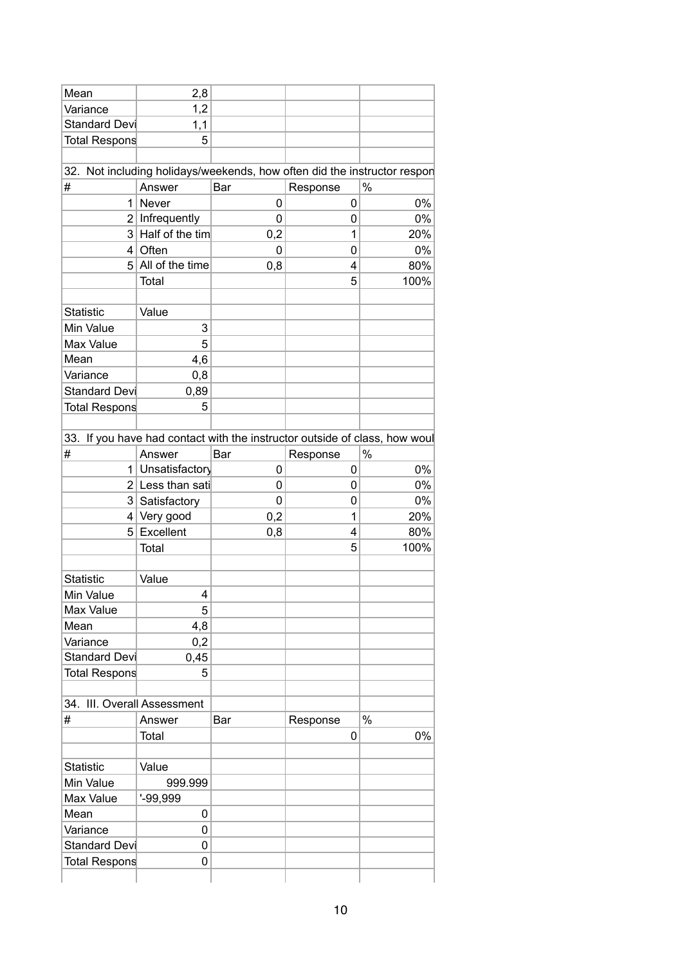| Mean                        | 2,8                 |                                                                            |                         |      |       |
|-----------------------------|---------------------|----------------------------------------------------------------------------|-------------------------|------|-------|
| Variance                    | 1,2                 |                                                                            |                         |      |       |
| Standard Devi               | 1,1                 |                                                                            |                         |      |       |
| Total Respons               | 5                   |                                                                            |                         |      |       |
|                             |                     |                                                                            |                         |      |       |
|                             |                     | 32. Not including holidays/weekends, how often did the instructor respon   |                         |      |       |
| $\#$                        | Answer              | Bar                                                                        | Response                | $\%$ |       |
|                             | $1$ Never           | $\pmb{0}$                                                                  | $\pmb{0}$               |      | $0\%$ |
|                             | $2$ Infrequently    | 0                                                                          | $\pmb{0}$               |      | $0\%$ |
|                             | $3$ Half of the tim | 0,2                                                                        | 1                       |      | 20%   |
|                             | $4$ Often           | $\pmb{0}$                                                                  | $\pmb{0}$               |      | $0\%$ |
|                             | $5$ All of the time | 0,8                                                                        | $\overline{\mathbf{4}}$ |      | 80%   |
|                             | Total               |                                                                            | 5                       |      | 100%  |
|                             |                     |                                                                            |                         |      |       |
|                             |                     |                                                                            |                         |      |       |
| Statistic                   | Value               |                                                                            |                         |      |       |
| Min Value                   | $\mathsf 3$         |                                                                            |                         |      |       |
| Max Value                   | 5                   |                                                                            |                         |      |       |
| Mean                        | 4,6                 |                                                                            |                         |      |       |
| Variance                    | 0,8                 |                                                                            |                         |      |       |
| <b>Standard Devi</b>        | 0,89                |                                                                            |                         |      |       |
| <b>Total Respons</b>        | 5                   |                                                                            |                         |      |       |
|                             |                     |                                                                            |                         |      |       |
|                             |                     | 33. If you have had contact with the instructor outside of class, how woul |                         |      |       |
| #                           | Answer              | Bar                                                                        | Response                | $\%$ |       |
| 1 <sup>1</sup>              | Unsatisfactory      | 0                                                                          | $\mathbf 0$             |      | $0\%$ |
|                             | $2$ Less than sati  | 0                                                                          | $\pmb{0}$               |      | $0\%$ |
|                             | 3 Satisfactory      | 0                                                                          | $\pmb{0}$               |      | $0\%$ |
|                             | $4$ Very good       | 0,2                                                                        | 1                       |      | 20%   |
|                             | $5$ Excellent       | 0,8                                                                        | $\overline{\mathbf{4}}$ |      | 80%   |
|                             |                     |                                                                            | 5                       |      | 100%  |
|                             | Total               |                                                                            |                         |      |       |
|                             |                     |                                                                            |                         |      |       |
| Statistic                   | Value               |                                                                            |                         |      |       |
| Min Value                   | 4                   |                                                                            |                         |      |       |
| Max Value                   | $\sqrt{5}$          |                                                                            |                         |      |       |
| Mean                        | 4,8                 |                                                                            |                         |      |       |
| Variance                    | 0,2                 |                                                                            |                         |      |       |
| Standard Devi               | 0,45                |                                                                            |                         |      |       |
| Total Respons               | 5                   |                                                                            |                         |      |       |
|                             |                     |                                                                            |                         |      |       |
| 34. III. Overall Assessment |                     |                                                                            |                         |      |       |
| #                           | Answer              | Bar                                                                        | Response                | $\%$ |       |
|                             | Total               |                                                                            | $\pmb{0}$               |      | $0\%$ |
|                             |                     |                                                                            |                         |      |       |
| Statistic                   | Value               |                                                                            |                         |      |       |
| Min Value                   | 999.999             |                                                                            |                         |      |       |
| Max Value                   | $-99,999$           |                                                                            |                         |      |       |
|                             |                     |                                                                            |                         |      |       |
| Mean                        | 0                   |                                                                            |                         |      |       |
| Variance                    | 0                   |                                                                            |                         |      |       |
| Standard Devi               | $\pmb{0}$           |                                                                            |                         |      |       |
| Total Respons               | 0                   |                                                                            |                         |      |       |
|                             |                     |                                                                            |                         |      |       |